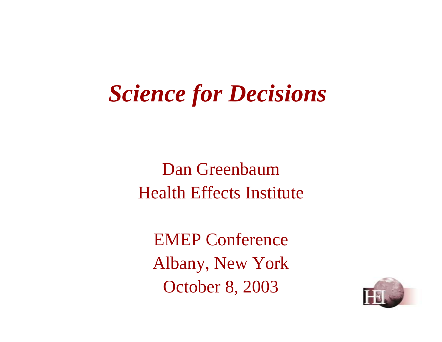# *Science for Decisions*

Dan Greenbaum Health Effects Institute

EMEP Conference Albany, New York October 8, 2003

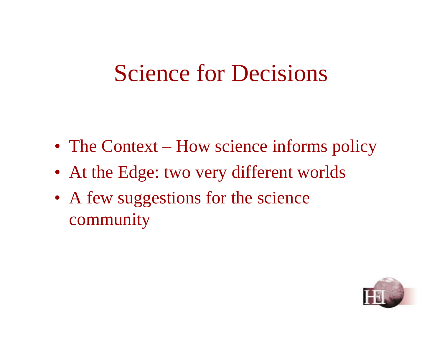### Science for Decisions

- The Context How science informs policy
- At the Edge: two very different worlds
- A few suggestions for the science community

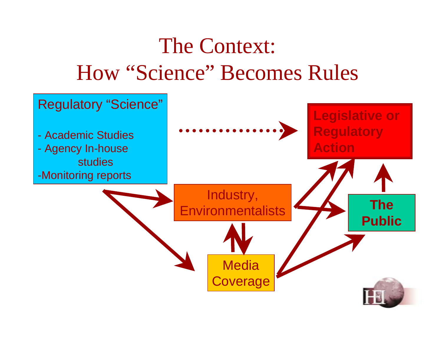### The Context: How "Science" Becomes Rules

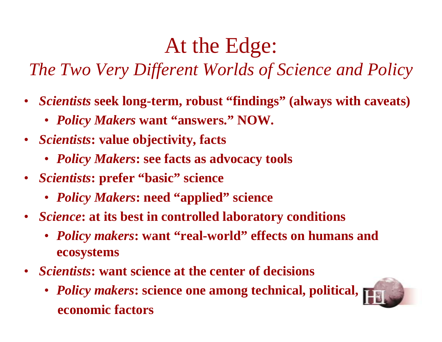#### At the Edge:

#### *The Two Very Different Worlds of Science and Policy*

- • *Scientists* **seek long-term, robust "findings" (always with caveats)**
	- *Policy Makers* **want "answers." NOW.**
- *Scientists***: value objectivity, facts** 
	- *Policy Makers***: see facts as advocacy tools**
- *Scientists***: prefer "basic" science** 
	- *Policy Makers***: need "applied" science**
- *Science***: at its best in controlled laboratory conditions** 
	- *Policy makers***: want "real-world" effects on humans and ecosystems**
- *Scientists***: want science at the center of decisions** 
	- *Policy makers***: science one among technical, political, economic factors**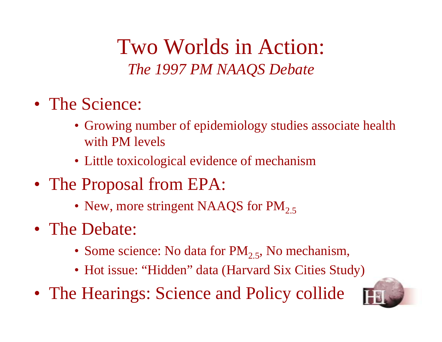Two Worlds in Action: *The 1997 PM NAAQS Debate* 

- The Science:
	- Growing number of epidemiology studies associate health with PM levels
	- Little toxicological evidence of mechanism
- The Proposal from EPA:
	- New, more stringent NAAQS for  $PM_{2.5}$
- The Debate:
	- Some science: No data for  $PM_{2,5}$ , No mechanism,
	- Hot issue: "Hidden" data (Harvard Six Cities Study)
- The Hearings: Science and Policy collide

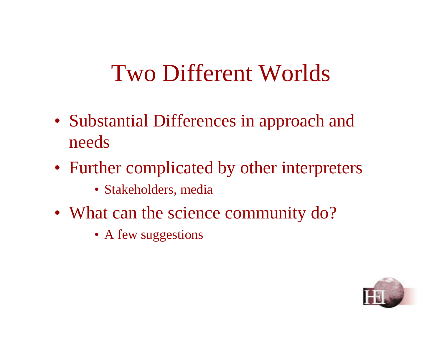## Two Different Worlds

- Substantial Differences in approach and needs
- Further complicated by other interpreters
	- Stakeholders, media
- What can the science community do?
	- A few suggestions

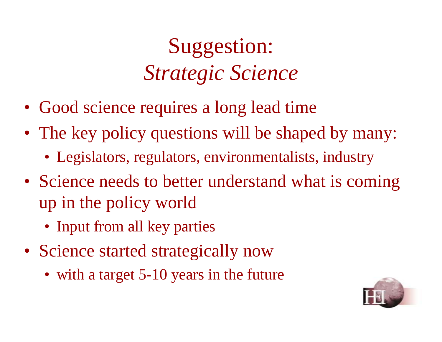# Suggestion: *Strategic Science*

- Good science requires a long lead time
- The key policy questions will be shaped by many:
	- Legislators, regulators, environmentalists, industry
- Science needs to better understand what is coming up in the policy world
	- Input from all key parties
- Science started strategically now
	- with a target 5-10 years in the future

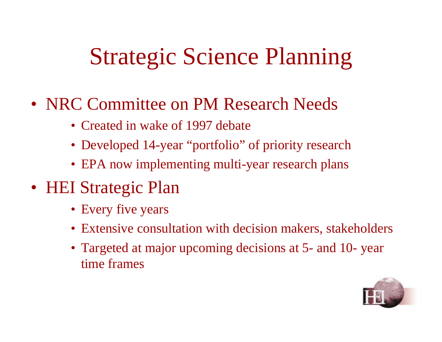# Strategic Science Planning

- NRC Committee on PM Research Needs
	- Created in wake of 1997 debate
	- Developed 14-year "portfolio" of priority research
	- EPA now implementing multi-year research plans
- HEI Strategic Plan
	- Every five years
	- Extensive consultation with decision makers, stakeholders
	- Targeted at major upcoming decisions at 5- and 10- year time frames

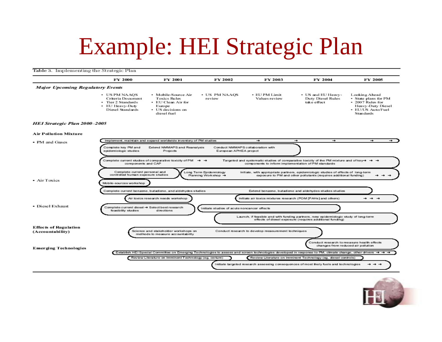# Example: HEI Strategic Plan

#### Table 3. Implementing the Strategic Plan

|                                                  | <b>FY 2000</b>                                                                                                       | FY 2001                                                                                                        | <b>FY 2002</b>                                | FY 2003                                             | FY 2004                                                                                                                                                                                                                                                                      | <b>FY 2005</b>                                                                                                          |
|--------------------------------------------------|----------------------------------------------------------------------------------------------------------------------|----------------------------------------------------------------------------------------------------------------|-----------------------------------------------|-----------------------------------------------------|------------------------------------------------------------------------------------------------------------------------------------------------------------------------------------------------------------------------------------------------------------------------------|-------------------------------------------------------------------------------------------------------------------------|
| <b>Major Upcoming Regulatory Events</b>          |                                                                                                                      |                                                                                                                |                                               |                                                     |                                                                                                                                                                                                                                                                              |                                                                                                                         |
|                                                  | • US PM NAAOS<br>Criteria Document<br>• Tier 2 Standards<br>• EU Heavy-Duty<br>Diesel Standards                      | • Mobile-Source Air<br><b>Toxics Rules</b><br>• EU Clean Air for<br>Europe<br>• US decisions on<br>diesel fuel | • US PM NAAOS<br>review                       | • EU PM Limit<br>Values review                      | · US and EU Heavy-<br>Duty Diesel Rules<br>take effect                                                                                                                                                                                                                       | Looking Abead<br>• State plans for PM<br>• 2007 Rules for<br>Heavy-Duty Diesel<br>• EU/US Auto/Fuel<br><b>Standards</b> |
| HEI Strategic Plan 2000-2005                     |                                                                                                                      |                                                                                                                |                                               |                                                     |                                                                                                                                                                                                                                                                              |                                                                                                                         |
| <b>Air Pollution Mixture</b>                     |                                                                                                                      |                                                                                                                |                                               |                                                     |                                                                                                                                                                                                                                                                              |                                                                                                                         |
| • PM and Gases                                   |                                                                                                                      | Implement, maintain and expand worldwide inventory of PM studies                                               |                                               | ÷                                                   | $\rightarrow$<br>÷                                                                                                                                                                                                                                                           | $\rightarrow$<br>$\rightarrow$                                                                                          |
| • Air Toxics                                     | components and CAP<br>Complete current personal and<br>controlled human exposure studies<br>Mobile-sources works hop | Complete current studies of comparative toxicity of $PM \rightarrow +$                                         | Long Term Epidemiology<br>Planning Workshop → | components to inform implementation of PM standards | Targeted and systematic studies of comparative toxicity of the PM mixture and of key- $\rightarrow$ $\rightarrow$<br>Initiate, with appropriate partners, epidemiologic studies of effects of long-term<br>exposure to PM and other pollutants (requires additional funding) | $\rightarrow$ $\rightarrow$<br>-                                                                                        |
|                                                  |                                                                                                                      | Complete current benzene, butadiene, and aldehydes studies                                                     |                                               |                                                     | Extend benzene, butadiene and aldehydes studies studies                                                                                                                                                                                                                      |                                                                                                                         |
|                                                  |                                                                                                                      | Air toxics research needs workshop                                                                             |                                               |                                                     | Initiate air toxics mixtures research (POM [PAHs] and others)                                                                                                                                                                                                                | $\rightarrow$ $\rightarrow$ $\rightarrow$                                                                               |
| • Diesel Exhaust                                 | Complete current diesel → Select best research<br>feasibility studies                                                | directions                                                                                                     | Initiate studies of acute noncancer effects   |                                                     | Launch, if feasible and with funding partners, new epidemiologic study of long-term                                                                                                                                                                                          |                                                                                                                         |
|                                                  |                                                                                                                      |                                                                                                                |                                               |                                                     | effects of diesel exposure (requires additional funding)                                                                                                                                                                                                                     |                                                                                                                         |
| <b>Effects of Regulation</b><br>(Accountability) |                                                                                                                      | Science and stakeholder workshops on<br>methods to measure accountability                                      |                                               | Conduct research to develop measurement techniques  |                                                                                                                                                                                                                                                                              |                                                                                                                         |
| Emerging Technologies                            |                                                                                                                      |                                                                                                                |                                               |                                                     | Conduct research to measure health effects<br>changes from reduced air pollution                                                                                                                                                                                             |                                                                                                                         |

Review Literature on Imminent Technology (eg, cerium)

Establish HEI Special Committee on Emerging Technologies to assess and screen technologies developed in response to PM, climate change, other drivers → → →

Review Literature on Imminent Technology (eg, diesel controls)

Initiate targeted research assessing consequences of most likely fuels and technologies



 $\rightarrow$   $\rightarrow$   $\rightarrow$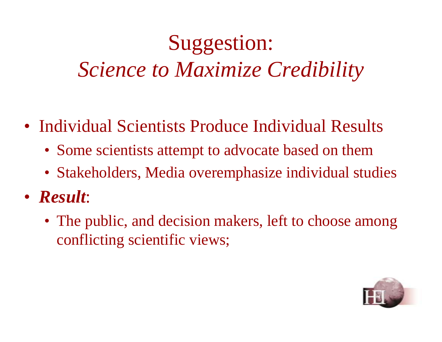# Suggestion: *Science to Maximize Credibility*

- Individual Scientists Produce Individual Results
	- Some scientists attempt to advocate based on them
	- Stakeholders, Media overemphasize individual studies
- *Result*:
	- The public, and decision makers, left to choose among conflicting scientific views;

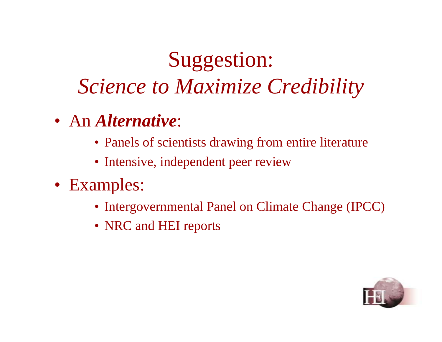# Suggestion: *Science to Maximize Credibility*

- An *Alternative*:
	- Panels of scientists drawing from entire literature
	- Intensive, independent peer review
- Examples:
	- Intergovernmental Panel on Climate Change (IPCC)
	- NRC and HEI reports

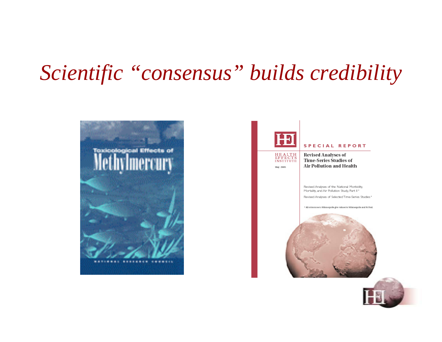#### *Scientific "consensus" builds credibility*





May 2003

#### **SPECIAL REPORT**

**Revised Analyses of** Time-Series Studies of Air Pollution and Health

Revised Analyses of the National Morbidity, Mortality, and Air Pollution Study, Part II\*

Revised Analyses of Selected Time-Series Studies\*

<sup>6</sup> All references to Minneapolis give values for Minneapolis and St Paul.



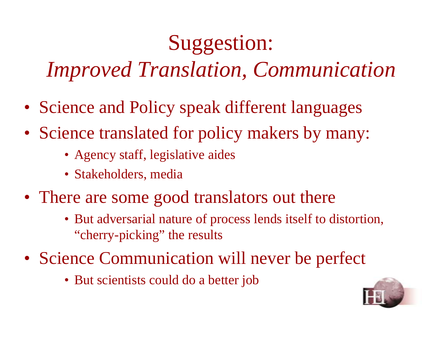## Suggestion:

*Improved Translation, Communication* 

- Science and Policy speak different languages
- Science translated for policy makers by many:
	- Agency staff, legislative aides
	- Stakeholders, media
- There are some good translators out there
	- But adversarial nature of process lends itself to distortion, "cherry-picking" the results
- Science Communication will never be perfect
	- But scientists could do a better job

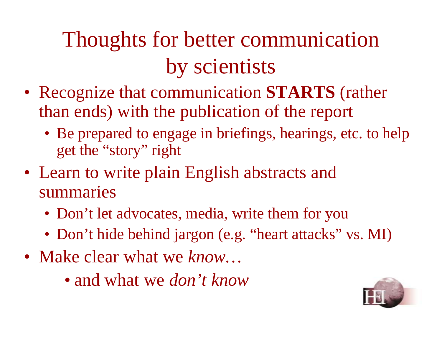# Thoughts for better communication by scientists

- Recognize that communication **STARTS** (rather than ends) with the publication of the report
	- Be prepared to engage in briefings, hearings, etc. to help get the "story" right
- Learn to write plain English abstracts and summaries
	- Don't let advocates, media, write them for you
	- Don't hide behind jargon (e.g. "heart attacks" vs. MI)
- Make clear what we *know*...
	- and what we *don't know*

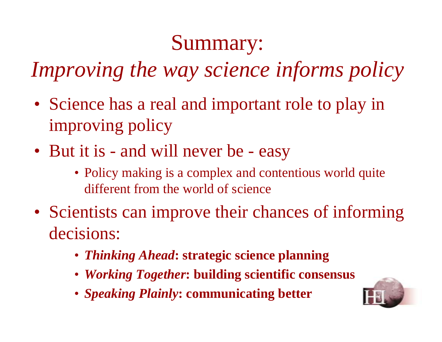#### Summary:

*Improving the way science informs policy*

- Science has a real and important role to play in improving policy
- But it is and will never be easy
	- Policy making is a complex and contentious world quite different from the world of science
- Scientists can improve their chances of informing decisions:
	- *Thinking Ahead***: strategic science planning**
	- *Working Together***: building scientific consensus**
	- *Speaking Plainly***: communicating better**